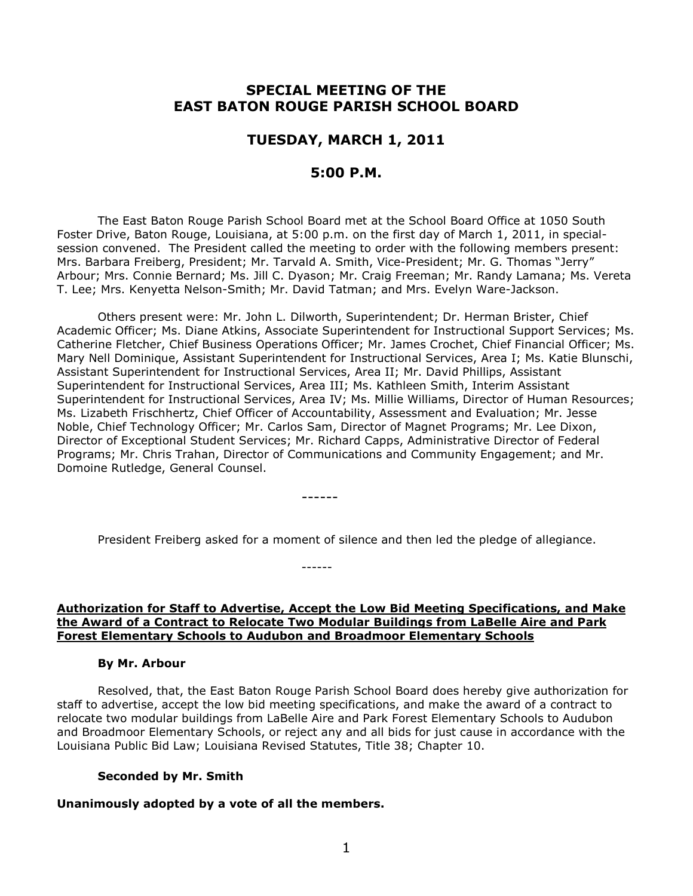# **SPECIAL MEETING OF THE EAST BATON ROUGE PARISH SCHOOL BOARD**

## **TUESDAY, MARCH 1, 2011**

### **5:00 P.M.**

The East Baton Rouge Parish School Board met at the School Board Office at 1050 South Foster Drive, Baton Rouge, Louisiana, at 5:00 p.m. on the first day of March 1, 2011, in specialsession convened. The President called the meeting to order with the following members present: Mrs. Barbara Freiberg, President; Mr. Tarvald A. Smith, Vice-President; Mr. G. Thomas "Jerry" Arbour; Mrs. Connie Bernard; Ms. Jill C. Dyason; Mr. Craig Freeman; Mr. Randy Lamana; Ms. Vereta T. Lee; Mrs. Kenyetta Nelson-Smith; Mr. David Tatman; and Mrs. Evelyn Ware-Jackson.

Others present were: Mr. John L. Dilworth, Superintendent; Dr. Herman Brister, Chief Academic Officer; Ms. Diane Atkins, Associate Superintendent for Instructional Support Services; Ms. Catherine Fletcher, Chief Business Operations Officer; Mr. James Crochet, Chief Financial Officer; Ms. Mary Nell Dominique, Assistant Superintendent for Instructional Services, Area I; Ms. Katie Blunschi, Assistant Superintendent for Instructional Services, Area II; Mr. David Phillips, Assistant Superintendent for Instructional Services, Area III; Ms. Kathleen Smith, Interim Assistant Superintendent for Instructional Services, Area IV; Ms. Millie Williams, Director of Human Resources; Ms. Lizabeth Frischhertz, Chief Officer of Accountability, Assessment and Evaluation; Mr. Jesse Noble, Chief Technology Officer; Mr. Carlos Sam, Director of Magnet Programs; Mr. Lee Dixon, Director of Exceptional Student Services; Mr. Richard Capps, Administrative Director of Federal Programs; Mr. Chris Trahan, Director of Communications and Community Engagement; and Mr. Domoine Rutledge, General Counsel.

President Freiberg asked for a moment of silence and then led the pledge of allegiance.

------

------

#### **Authorization for Staff to Advertise, Accept the Low Bid Meeting Specifications, and Make the Award of a Contract to Relocate Two Modular Buildings from LaBelle Aire and Park Forest Elementary Schools to Audubon and Broadmoor Elementary Schools**

#### **By Mr. Arbour**

Resolved, that, the East Baton Rouge Parish School Board does hereby give authorization for staff to advertise, accept the low bid meeting specifications, and make the award of a contract to relocate two modular buildings from LaBelle Aire and Park Forest Elementary Schools to Audubon and Broadmoor Elementary Schools, or reject any and all bids for just cause in accordance with the Louisiana Public Bid Law; Louisiana Revised Statutes, Title 38; Chapter 10.

#### **Seconded by Mr. Smith**

#### **Unanimously adopted by a vote of all the members.**